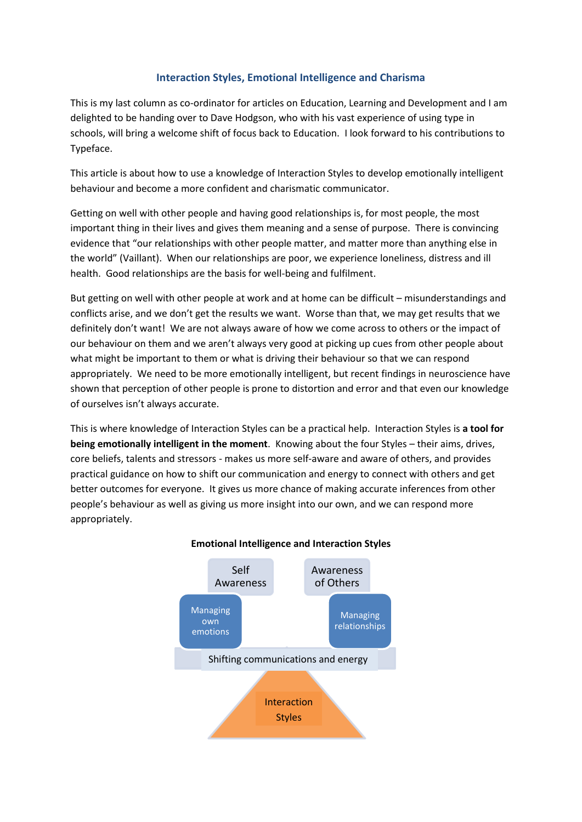# **Interaction Styles, Emotional Intelligence and Charisma**

This is my last column as co-ordinator for articles on Education, Learning and Development and I am delighted to be handing over to Dave Hodgson, who with his vast experience of using type in schools, will bring a welcome shift of focus back to Education. I look forward to his contributions to Typeface.

This article is about how to use a knowledge of Interaction Styles to develop emotionally intelligent behaviour and become a more confident and charismatic communicator.

Getting on well with other people and having good relationships is, for most people, the most important thing in their lives and gives them meaning and a sense of purpose. There is convincing evidence that "our relationships with other people matter, and matter more than anything else in the world" (Vaillant). When our relationships are poor, we experience loneliness, distress and ill health. Good relationships are the basis for well-being and fulfilment.

But getting on well with other people at work and at home can be difficult – misunderstandings and conflicts arise, and we don't get the results we want. Worse than that, we may get results that we definitely don't want! We are not always aware of how we come across to others or the impact of our behaviour on them and we aren't always very good at picking up cues from other people about what might be important to them or what is driving their behaviour so that we can respond appropriately. We need to be more emotionally intelligent, but recent findings in neuroscience have shown that perception of other people is prone to distortion and error and that even our knowledge of ourselves isn't always accurate.

This is where knowledge of Interaction Styles can be a practical help. Interaction Styles is **a tool for being emotionally intelligent in the moment**. Knowing about the four Styles – their aims, drives, core beliefs, talents and stressors - makes us more self-aware and aware of others, and provides practical guidance on how to shift our communication and energy to connect with others and get better outcomes for everyone. It gives us more chance of making accurate inferences from other people's behaviour as well as giving us more insight into our own, and we can respond more appropriately.



## **Emotional Intelligence and Interaction Styles**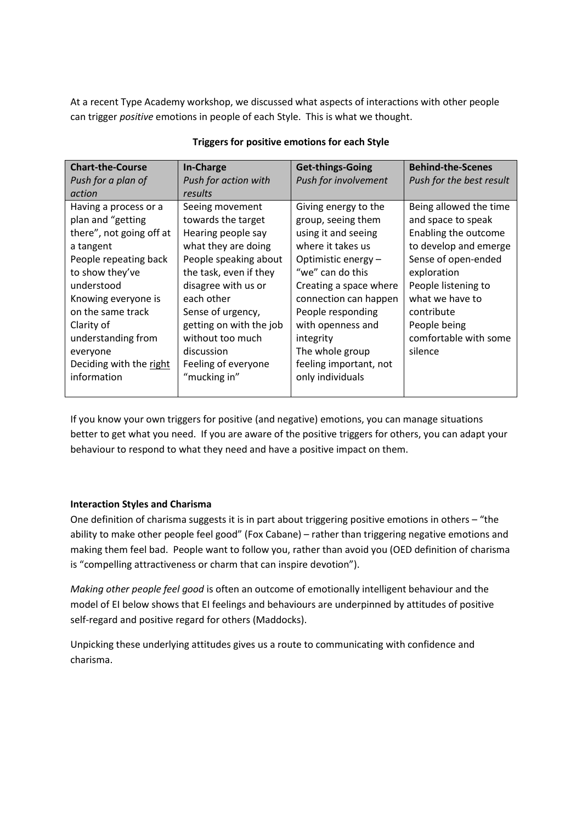At a recent Type Academy workshop, we discussed what aspects of interactions with other people can trigger *positive* emotions in people of each Style. This is what we thought.

| <b>Chart-the-Course</b>  | <b>In-Charge</b>        | <b>Get-things-Going</b> | <b>Behind-the-Scenes</b> |
|--------------------------|-------------------------|-------------------------|--------------------------|
| Push for a plan of       | Push for action with    | Push for involvement    | Push for the best result |
| action                   | results                 |                         |                          |
| Having a process or a    | Seeing movement         | Giving energy to the    | Being allowed the time   |
| plan and "getting        | towards the target      | group, seeing them      | and space to speak       |
| there", not going off at | Hearing people say      | using it and seeing     | Enabling the outcome     |
| a tangent                | what they are doing     | where it takes us       | to develop and emerge    |
| People repeating back    | People speaking about   | Optimistic energy -     | Sense of open-ended      |
| to show they've          | the task, even if they  | "we" can do this        | exploration              |
| understood               | disagree with us or     | Creating a space where  | People listening to      |
| Knowing everyone is      | each other              | connection can happen   | what we have to          |
| on the same track        | Sense of urgency,       | People responding       | contribute               |
| Clarity of               | getting on with the job | with openness and       | People being             |
| understanding from       | without too much        | integrity               | comfortable with some    |
| everyone                 | discussion              | The whole group         | silence                  |
| Deciding with the right  | Feeling of everyone     | feeling important, not  |                          |
| information              | "mucking in"            | only individuals        |                          |
|                          |                         |                         |                          |

#### **Triggers for positive emotions for each Style**

If you know your own triggers for positive (and negative) emotions, you can manage situations better to get what you need. If you are aware of the positive triggers for others, you can adapt your behaviour to respond to what they need and have a positive impact on them.

## **Interaction Styles and Charisma**

One definition of charisma suggests it is in part about triggering positive emotions in others – "the ability to make other people feel good" (Fox Cabane) – rather than triggering negative emotions and making them feel bad. People want to follow you, rather than avoid you (OED definition of charisma is "compelling attractiveness or charm that can inspire devotion").

*Making other people feel good* is often an outcome of emotionally intelligent behaviour and the model of EI below shows that EI feelings and behaviours are underpinned by attitudes of positive self-regard and positive regard for others (Maddocks).

Unpicking these underlying attitudes gives us a route to communicating with confidence and charisma.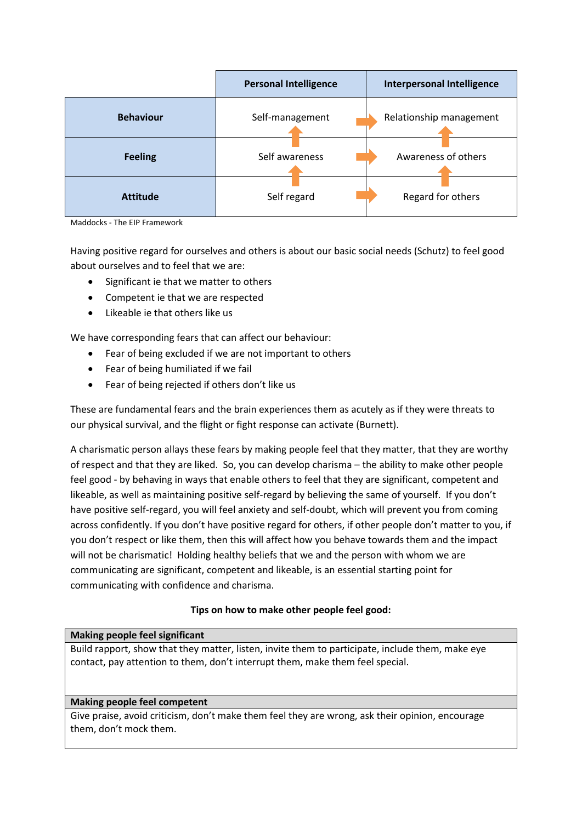|                  | <b>Personal Intelligence</b> | <b>Interpersonal Intelligence</b> |  |
|------------------|------------------------------|-----------------------------------|--|
| <b>Behaviour</b> | Self-management              | Relationship management           |  |
| <b>Feeling</b>   | Self awareness               | Awareness of others               |  |
| <b>Attitude</b>  | Self regard                  | Regard for others                 |  |

Maddocks - The EIP Framework

Having positive regard for ourselves and others is about our basic social needs (Schutz) to feel good about ourselves and to feel that we are:

- Significant ie that we matter to others
- Competent ie that we are respected
- Likeable ie that others like us

We have corresponding fears that can affect our behaviour:

- Fear of being excluded if we are not important to others
- Fear of being humiliated if we fail
- Fear of being rejected if others don't like us

These are fundamental fears and the brain experiences them as acutely as if they were threats to our physical survival, and the flight or fight response can activate (Burnett).

A charismatic person allays these fears by making people feel that they matter, that they are worthy of respect and that they are liked. So, you can develop charisma – the ability to make other people feel good - by behaving in ways that enable others to feel that they are significant, competent and likeable, as well as maintaining positive self-regard by believing the same of yourself. If you don't have positive self-regard, you will feel anxiety and self-doubt, which will prevent you from coming across confidently. If you don't have positive regard for others, if other people don't matter to you, if you don't respect or like them, then this will affect how you behave towards them and the impact will not be charismatic! Holding healthy beliefs that we and the person with whom we are communicating are significant, competent and likeable, is an essential starting point for communicating with confidence and charisma.

## **Tips on how to make other people feel good:**

## **Making people feel significant**

Build rapport, show that they matter, listen, invite them to participate, include them, make eye contact, pay attention to them, don't interrupt them, make them feel special.

## **Making people feel competent**

Give praise, avoid criticism, don't make them feel they are wrong, ask their opinion, encourage them, don't mock them.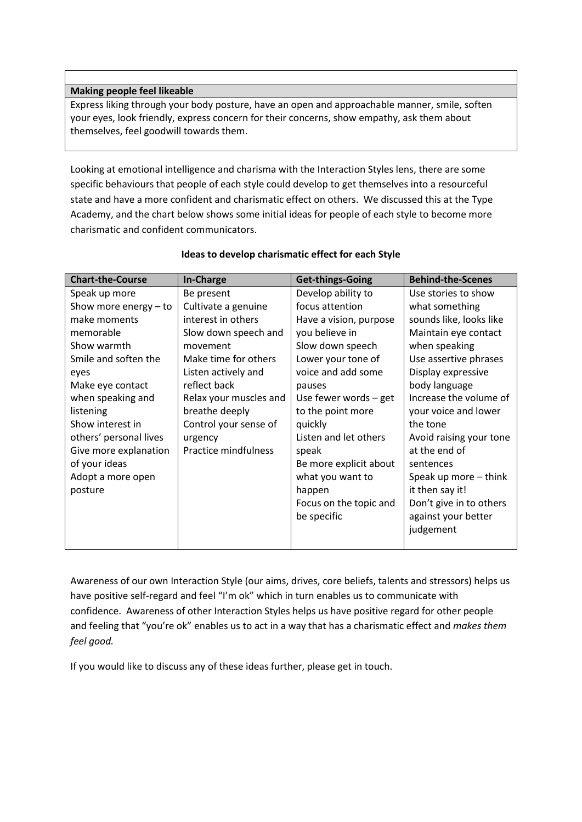#### **Making people feel likeable**

Express liking through your body posture, have an open and approachable manner, smile, soften your eyes, look friendly, express concern for their concerns, show empathy, ask them about themselves, feel goodwill towards them.

Looking at emotional intelligence and charisma with the Interaction Styles lens, there are some specific behaviours that people of each style could develop to get themselves into a resourceful state and have a more confident and charismatic effect on others. We discussed this at the Type Academy, and the chart below shows some initial ideas for people of each style to become more charismatic and confident communicators.

| <b>Chart-the-Course</b> | <b>In-Charge</b>       | <b>Get-things-Going</b> | <b>Behind-the-Scenes</b> |
|-------------------------|------------------------|-------------------------|--------------------------|
| Speak up more           | Be present             | Develop ability to      | Use stories to show      |
| Show more energy $-$ to | Cultivate a genuine    | focus attention         | what something           |
| make moments            | interest in others     | Have a vision, purpose  | sounds like, looks like  |
| memorable               | Slow down speech and   | you believe in          | Maintain eye contact     |
| Show warmth             | movement               | Slow down speech        | when speaking            |
| Smile and soften the    | Make time for others   | Lower your tone of      | Use assertive phrases    |
| eyes                    | Listen actively and    | voice and add some      | Display expressive       |
| Make eye contact        | reflect back           | pauses                  | body language            |
| when speaking and       | Relax your muscles and | Use fewer words $-$ get | Increase the volume of   |
| listening               | breathe deeply         | to the point more       | your voice and lower     |
| Show interest in        | Control your sense of  | quickly                 | the tone                 |
| others' personal lives  | urgency                | Listen and let others   | Avoid raising your tone  |
| Give more explanation   | Practice mindfulness   | speak                   | at the end of            |
| of your ideas           |                        | Be more explicit about  | sentences                |
| Adopt a more open       |                        | what you want to        | Speak up more - think    |
| posture                 |                        | happen                  | it then say it!          |
|                         |                        | Focus on the topic and  | Don't give in to others  |
|                         |                        | be specific             | against your better      |
|                         |                        |                         | judgement                |
|                         |                        |                         |                          |

## **Ideas to develop charismatic effect for each Style**

Awareness of our own Interaction Style (our aims, drives, core beliefs, talents and stressors) helps us have positive self-regard and feel "I'm ok" which in turn enables us to communicate with confidence. Awareness of other Interaction Styles helps us have positive regard for other people and feeling that "you're ok" enables us to act in a way that has a charismatic effect and *makes them feel good.* 

If you would like to discuss any of these ideas further, please get in touch.